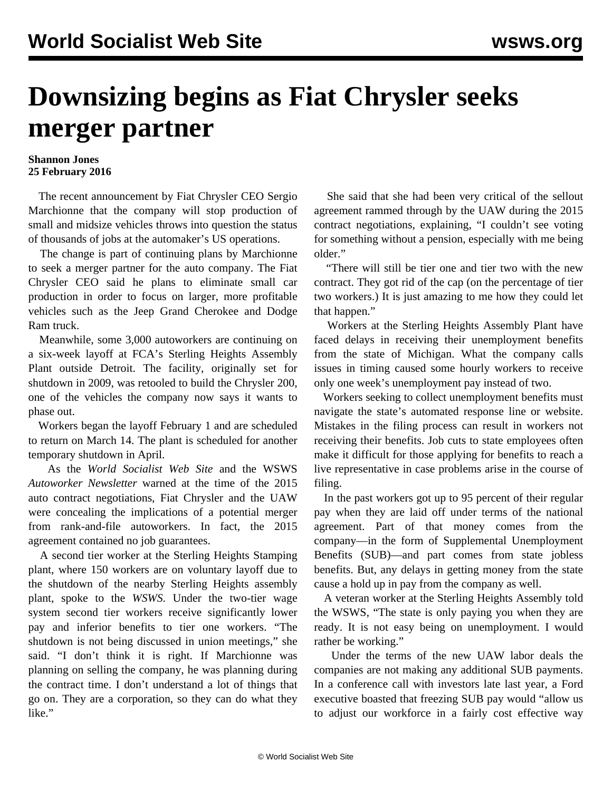## **Downsizing begins as Fiat Chrysler seeks merger partner**

## **Shannon Jones 25 February 2016**

 The recent announcement by Fiat Chrysler CEO Sergio Marchionne that the company will stop production of small and midsize vehicles throws into question the status of thousands of jobs at the automaker's US operations.

 The change is part of continuing plans by Marchionne to seek a merger partner for the auto company. The Fiat Chrysler CEO said he plans to eliminate small car production in order to focus on larger, more profitable vehicles such as the Jeep Grand Cherokee and Dodge Ram truck.

 Meanwhile, some 3,000 autoworkers are continuing on a six-week layoff at FCA's Sterling Heights Assembly Plant outside Detroit. The facility, originally set for shutdown in 2009, was retooled to build the Chrysler 200, one of the vehicles the company now says it wants to phase out.

 Workers began the layoff February 1 and are scheduled to return on March 14. The plant is scheduled for another temporary shutdown in April.

 As the *World Socialist Web Site* and the WSWS *Autoworker Newsletter* warned at the time of the 2015 auto contract negotiations, Fiat Chrysler and the UAW were concealing the implications of a potential merger from rank-and-file autoworkers. In fact, the 2015 agreement contained no job guarantees.

 A second tier worker at the Sterling Heights Stamping plant, where 150 workers are on voluntary layoff due to the shutdown of the nearby Sterling Heights assembly plant, spoke to the *WSWS*. Under the two-tier wage system second tier workers receive significantly lower pay and inferior benefits to tier one workers. "The shutdown is not being discussed in union meetings," she said. "I don't think it is right. If Marchionne was planning on selling the company, he was planning during the contract time. I don't understand a lot of things that go on. They are a corporation, so they can do what they like."

 She said that she had been very critical of the sellout agreement rammed through by the UAW during the 2015 contract negotiations, explaining, "I couldn't see voting for something without a pension, especially with me being older."

 "There will still be tier one and tier two with the new contract. They got rid of the cap (on the percentage of tier two workers.) It is just amazing to me how they could let that happen."

 Workers at the Sterling Heights Assembly Plant have faced delays in receiving their unemployment benefits from the state of Michigan. What the company calls issues in timing caused some hourly workers to receive only one week's unemployment pay instead of two.

 Workers seeking to collect unemployment benefits must navigate the state's automated response line or website. Mistakes in the filing process can result in workers not receiving their benefits. Job cuts to state employees often make it difficult for those applying for benefits to reach a live representative in case problems arise in the course of filing.

 In the past workers got up to 95 percent of their regular pay when they are laid off under terms of the national agreement. Part of that money comes from the company—in the form of Supplemental Unemployment Benefits (SUB)—and part comes from state jobless benefits. But, any delays in getting money from the state cause a hold up in pay from the company as well.

 A veteran worker at the Sterling Heights Assembly told the WSWS*,* "The state is only paying you when they are ready. It is not easy being on unemployment. I would rather be working."

 Under the terms of the new UAW labor deals the companies are not making any additional SUB payments. In a conference call with investors late last year, a Ford executive boasted that freezing SUB pay would "allow us to adjust our workforce in a fairly cost effective way